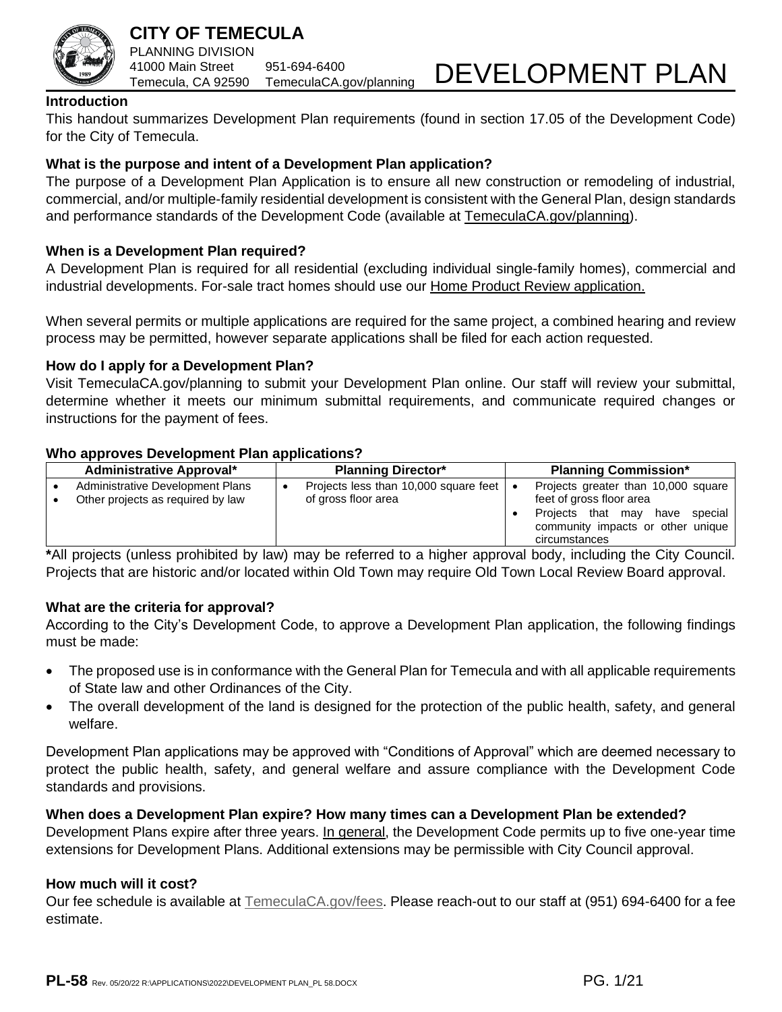

### **CITY OF TEMECULA** PLANNING DIVISION 41000 Main Street 951-694-6400 Temecula, CA 92590 TemeculaCA.gov/planning

# DEVELOPMENT PLAN

### **Introduction**

This handout summarizes Development Plan requirements (found in section 17.05 of the Development Code) for the City of Temecula.

### **What is the purpose and intent of a Development Plan application?**

The purpose of a Development Plan Application is to ensure all new construction or remodeling of industrial, commercial, and/or multiple-family residential development is consistent with the General Plan, design standards and performance standards of the Development Code (available at [TemeculaCA.gov/planning\)](http://www.temeculaca.gov/planning).

### **When is a Development Plan required?**

A Development Plan is required for all residential (excluding individual single-family homes), commercial and industrial developments. For-sale tract homes should use our [Home Product Review application.](https://temeculaca.gov/DocumentCenter/View/1369/Home-Product-Review-PDF)

When several permits or multiple applications are required for the same project, a combined hearing and review process may be permitted, however separate applications shall be filed for each action requested.

### **How do I apply for a Development Plan?**

Visit TemeculaCA.gov/planning to submit your Development Plan online. Our staff will review your submittal, determine whether it meets our minimum submittal requirements, and communicate required changes or instructions for the payment of fees.

### **Who approves Development Plan applications?**

| <b>Administrative Approval*</b>                                       | <b>Planning Director*</b>                                        | <b>Planning Commission*</b>                                                                                                                                  |
|-----------------------------------------------------------------------|------------------------------------------------------------------|--------------------------------------------------------------------------------------------------------------------------------------------------------------|
| Administrative Development Plans<br>Other projects as required by law | Projects less than 10,000 square feet   •<br>of gross floor area | Projects greater than 10,000 square  <br>feet of gross floor area<br>Projects that may have<br>special<br>community impacts or other unique<br>circumstances |

**\***All projects (unless prohibited by law) may be referred to a higher approval body, including the City Council. Projects that are historic and/or located within Old Town may require Old Town Local Review Board approval.

### **What are the criteria for approval?**

According to the City's Development Code, to approve a Development Plan application, the following findings must be made:

- The proposed use is in conformance with the General Plan for Temecula and with all applicable requirements of State law and other Ordinances of the City.
- The overall development of the land is designed for the protection of the public health, safety, and general welfare.

Development Plan applications may be approved with "Conditions of Approval" which are deemed necessary to protect the public health, safety, and general welfare and assure compliance with the Development Code standards and provisions.

### **When does a Development Plan expire? How many times can a Development Plan be extended?**

Development Plans expire after three years. In general, the Development Code permits up to five one-year time extensions for Development Plans. Additional extensions may be permissible with City Council approval.

### **How much will it cost?**

Our fee schedule is available at TemeculaCA.gov/fees. Please reach-out to our staff at (951) 694-6400 for a fee estimate.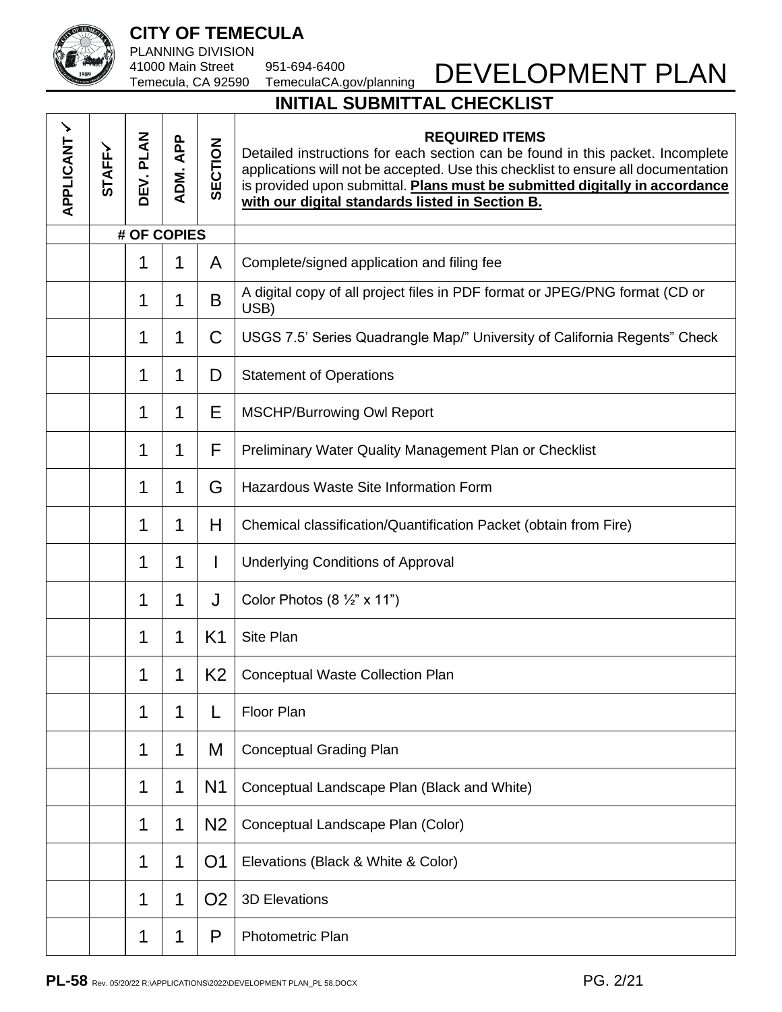

PLANNING DIVISION 41000 Main Street 951-694-6400

Temecula, CA 92590 TemeculaCA.gov/planning

# DEVELOPMENT PLAN

# **INITIAL SUBMITTAL CHECKLIST**

| APPLICANT / | <b>STAFFY</b> | DEV. PLAN   | ADM. APP | SECTION        | <b>REQUIRED ITEMS</b><br>Detailed instructions for each section can be found in this packet. Incomplete<br>applications will not be accepted. Use this checklist to ensure all documentation<br>is provided upon submittal. Plans must be submitted digitally in accordance<br>with our digital standards listed in Section B. |  |
|-------------|---------------|-------------|----------|----------------|--------------------------------------------------------------------------------------------------------------------------------------------------------------------------------------------------------------------------------------------------------------------------------------------------------------------------------|--|
|             |               | # OF COPIES |          |                |                                                                                                                                                                                                                                                                                                                                |  |
|             |               | 1           | 1        | A              | Complete/signed application and filing fee                                                                                                                                                                                                                                                                                     |  |
|             |               | 1           | 1        | B              | A digital copy of all project files in PDF format or JPEG/PNG format (CD or<br>USB)                                                                                                                                                                                                                                            |  |
|             |               | 1           | 1        | C              | USGS 7.5' Series Quadrangle Map/" University of California Regents" Check                                                                                                                                                                                                                                                      |  |
|             |               | 1           | 1        | D              | <b>Statement of Operations</b>                                                                                                                                                                                                                                                                                                 |  |
|             |               | 1           | 1        | Е              | <b>MSCHP/Burrowing Owl Report</b>                                                                                                                                                                                                                                                                                              |  |
|             |               | 1           | 1        | F              | Preliminary Water Quality Management Plan or Checklist                                                                                                                                                                                                                                                                         |  |
|             |               | 1           | 1        | G              | <b>Hazardous Waste Site Information Form</b>                                                                                                                                                                                                                                                                                   |  |
|             |               | 1           | 1        | H              | Chemical classification/Quantification Packet (obtain from Fire)                                                                                                                                                                                                                                                               |  |
|             |               | 1           | 1        |                | <b>Underlying Conditions of Approval</b>                                                                                                                                                                                                                                                                                       |  |
|             |               | 1           | 1        | J              | Color Photos $(8 \frac{1}{2} x$ x 11")                                                                                                                                                                                                                                                                                         |  |
|             |               | 1           | 1        | K <sub>1</sub> | Site Plan                                                                                                                                                                                                                                                                                                                      |  |
|             |               | 1           | 1        | K <sub>2</sub> | <b>Conceptual Waste Collection Plan</b>                                                                                                                                                                                                                                                                                        |  |
|             |               | 1           | 1        | L              | Floor Plan                                                                                                                                                                                                                                                                                                                     |  |
|             |               | 1           | 1        | M              | <b>Conceptual Grading Plan</b>                                                                                                                                                                                                                                                                                                 |  |
|             |               | 1           | 1        | N <sub>1</sub> | Conceptual Landscape Plan (Black and White)                                                                                                                                                                                                                                                                                    |  |
|             |               | 1           | 1        | N <sub>2</sub> | Conceptual Landscape Plan (Color)                                                                                                                                                                                                                                                                                              |  |
|             |               | 1           | 1        | O <sub>1</sub> | Elevations (Black & White & Color)                                                                                                                                                                                                                                                                                             |  |
|             |               | 1           | 1        | O <sub>2</sub> | <b>3D Elevations</b>                                                                                                                                                                                                                                                                                                           |  |
|             |               | 1           | 1        | P              | Photometric Plan                                                                                                                                                                                                                                                                                                               |  |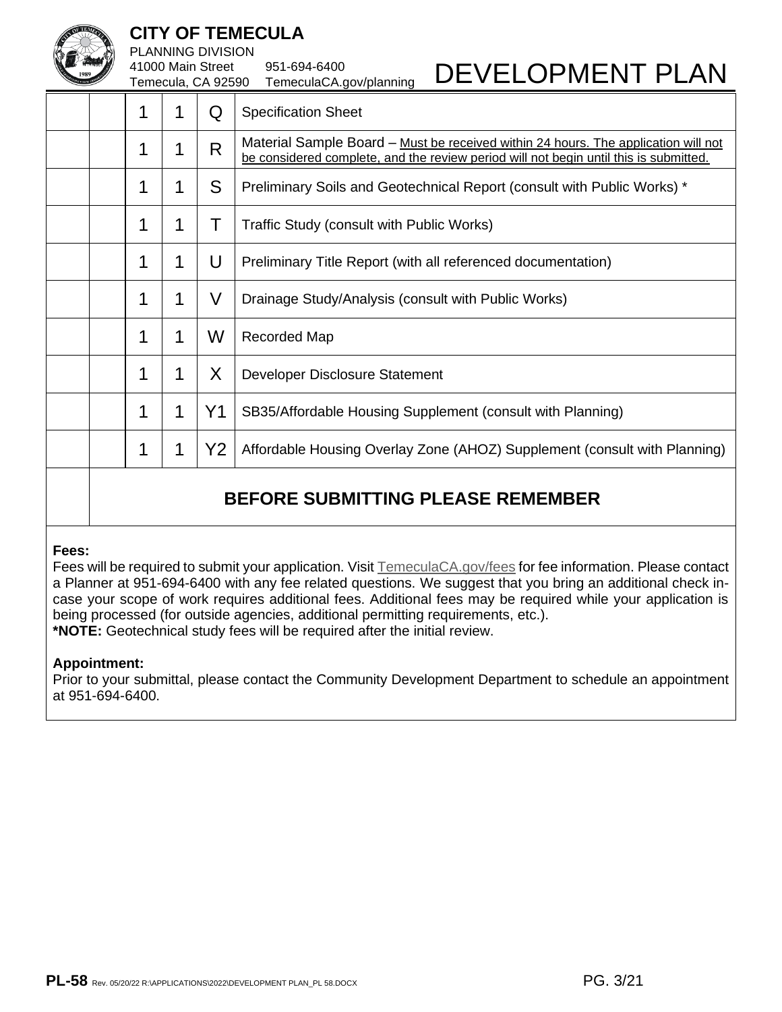

PLANNING DIVISION

41000 Main Street 951-694-6400 Temecula, CA 92590 TemeculaCA.gov/planning

|                                          | 1 | 1 | Q              | <b>Specification Sheet</b>                                                                                                                                                  |  |
|------------------------------------------|---|---|----------------|-----------------------------------------------------------------------------------------------------------------------------------------------------------------------------|--|
|                                          | 1 | 1 | R              | Material Sample Board – Must be received within 24 hours. The application will not<br>be considered complete, and the review period will not begin until this is submitted. |  |
|                                          | 1 | 1 | S              | Preliminary Soils and Geotechnical Report (consult with Public Works) *                                                                                                     |  |
|                                          | 1 | 1 | Τ              | Traffic Study (consult with Public Works)                                                                                                                                   |  |
|                                          | 1 | 1 | U              | Preliminary Title Report (with all referenced documentation)                                                                                                                |  |
|                                          | 1 | 1 | V              | Drainage Study/Analysis (consult with Public Works)                                                                                                                         |  |
|                                          | 1 | 1 | W              | Recorded Map                                                                                                                                                                |  |
|                                          | 1 | 1 | X              | Developer Disclosure Statement                                                                                                                                              |  |
|                                          | 1 | 1 | Y <sub>1</sub> | SB35/Affordable Housing Supplement (consult with Planning)                                                                                                                  |  |
|                                          | 1 | 1 | Y2             | Affordable Housing Overlay Zone (AHOZ) Supplement (consult with Planning)                                                                                                   |  |
| <b>BEFORE SUBMITTING PLEASE REMEMBER</b> |   |   |                |                                                                                                                                                                             |  |

### **Fees:**

Fees will be required to submit your application. Visit TemeculaCA.gov/fees for fee information. Please contact a Planner at 951-694-6400 with any fee related questions. We suggest that you bring an additional check incase your scope of work requires additional fees. Additional fees may be required while your application is being processed (for outside agencies, additional permitting requirements, etc.). **\*NOTE:** Geotechnical study fees will be required after the initial review.

### **Appointment:**

Prior to your submittal, please contact the Community Development Department to schedule an appointment at 951-694-6400.

DEVELOPMENT PLAN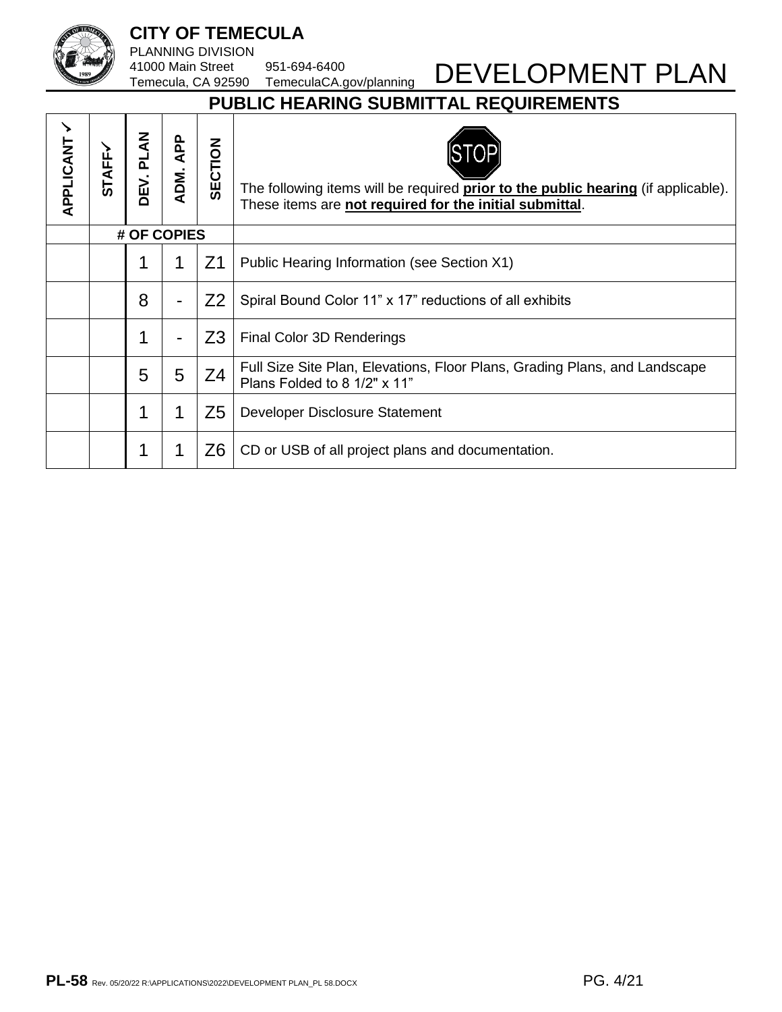PLANNING DIVISION 41000 Main Street 951-694-6400

DEVELOPMENT PLAN

# Temecula, CA 92590 TemeculaCA.gov/planning **PUBLIC HEARING SUBMITTAL REQUIREMENTS**

| APPLICANT | <b>STAFF~</b> | <b>PLAN</b><br>DEV. | ADM. APP       | SECTION        | The following items will be required <b>prior to the public hearing</b> (if applicable).<br>These items are not required for the initial submittal. |
|-----------|---------------|---------------------|----------------|----------------|-----------------------------------------------------------------------------------------------------------------------------------------------------|
|           |               | # OF COPIES         |                |                |                                                                                                                                                     |
|           |               | 1                   | 1              | Z <sub>1</sub> | Public Hearing Information (see Section X1)                                                                                                         |
|           |               | 8                   | $\blacksquare$ | Z <sub>2</sub> | Spiral Bound Color 11" x 17" reductions of all exhibits                                                                                             |
|           |               | 1                   | $\blacksquare$ | Z <sub>3</sub> | Final Color 3D Renderings                                                                                                                           |
|           |               | 5                   | 5              | Z <sub>4</sub> | Full Size Site Plan, Elevations, Floor Plans, Grading Plans, and Landscape<br>Plans Folded to 8 1/2" x 11"                                          |
|           |               | 1                   | 1              | Z5             | Developer Disclosure Statement                                                                                                                      |
|           |               | 1                   | 1              | Z <sub>6</sub> | CD or USB of all project plans and documentation.                                                                                                   |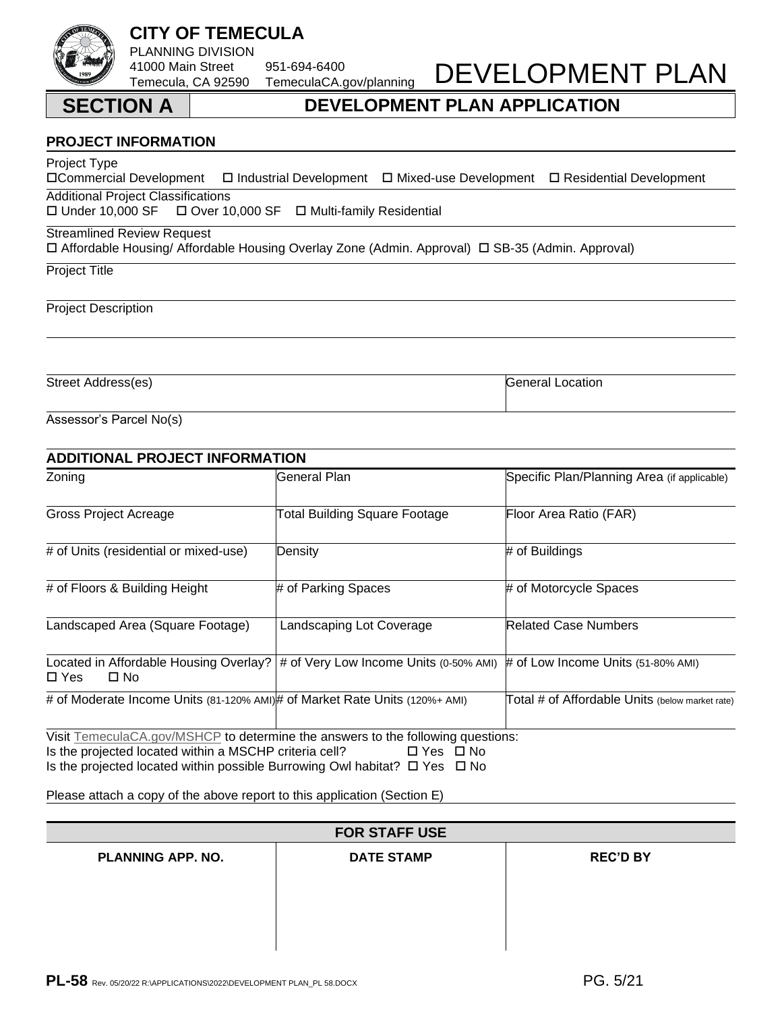### PL-58 Rev. 05/20/22 R:\APPLICATIONS\2022\DEVELOPMENT PLAN\_PL 58.DOCX PG. PG. 5/21

### **PROJECT INFORMATION**

Project Type  $\Box$  Industrial Development  $\Box$  Mixed-use Development  $\Box$  Residential Development

Additional Project Classifications<br>  $\Box$  Under 10,000 SF  $\Box$  Over 10

□ Over 10,000 SF □ Multi-family Residential

### Streamlined Review Request

Affordable Housing/ Affordable Housing Overlay Zone (Admin. Approval) SB-35 (Admin. Approval)

Project Title

Project Description

Street Address(es) General Location Control of the Street Address(es) General Location

Assessor's Parcel No(s)

|                                                                                                                                                | <b>ADDITIONAL PROJECT INFORMATION</b>                                                                   |                                                 |  |  |  |  |
|------------------------------------------------------------------------------------------------------------------------------------------------|---------------------------------------------------------------------------------------------------------|-------------------------------------------------|--|--|--|--|
| Zoning                                                                                                                                         | General Plan                                                                                            | Specific Plan/Planning Area (if applicable)     |  |  |  |  |
| <b>Gross Project Acreage</b>                                                                                                                   | Total Building Square Footage                                                                           | Floor Area Ratio (FAR)                          |  |  |  |  |
| # of Units (residential or mixed-use)                                                                                                          | Density                                                                                                 | # of Buildings                                  |  |  |  |  |
| # of Floors & Building Height                                                                                                                  | # of Parking Spaces                                                                                     | # of Motorcycle Spaces                          |  |  |  |  |
| Landscaped Area (Square Footage)                                                                                                               | Landscaping Lot Coverage                                                                                | <b>Related Case Numbers</b>                     |  |  |  |  |
| $\square$ No<br>$\Box$ Yes                                                                                                                     | Located in Affordable Housing Overlay?  # of Very Low Income Units (0-50% AMI)                          | # of Low Income Units (51-80% AMI)              |  |  |  |  |
| # of Moderate Income Units (81-120% AMI) # of Market Rate Units (120%+ AMI)                                                                    |                                                                                                         | Total # of Affordable Units (below market rate) |  |  |  |  |
| Is the projected located within a MSCHP criteria cell?<br>Is the projected located within possible Burrowing Owl habitat? $\Box$ Yes $\Box$ No | Visit TemeculaCA.gov/MSHCP to determine the answers to the following questions:<br>$\Box$ Yes $\Box$ No |                                                 |  |  |  |  |

Please attach a copy of the above report to this application (Section E)

### **FOR STAFF USE**

**PLANNING APP. NO. DATE STAMP REC'D BY**



# DEVELOPMENT PLAN

## Temecula, CA 92590 TemeculaCA.gov/planning **SECTION A DEVELOPMENT PLAN APPLICATION**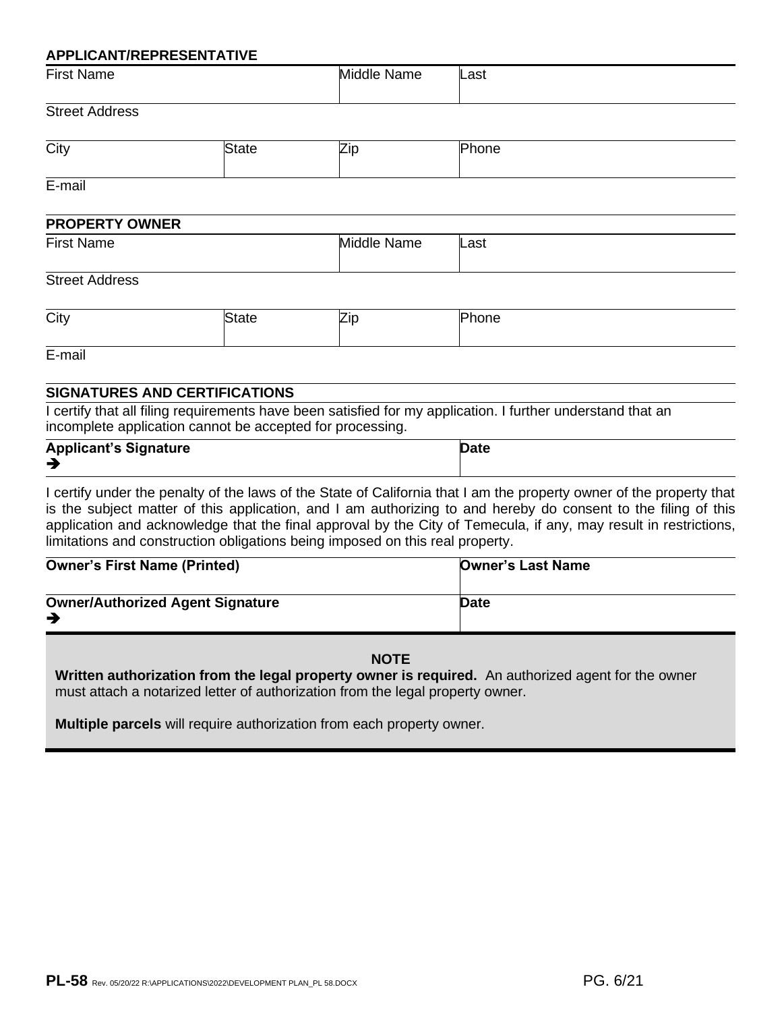### **APPLICANT/REPRESENTATIVE**

| First<br>Name | Middle<br>Name | _ast |
|---------------|----------------|------|
|               |                |      |

### Street Address

| City | -- | าเ<br>___ |
|------|----|-----------|
|      |    |           |

E-mail

| <b>PROPERTY OWNER</b> |                |      |
|-----------------------|----------------|------|
| <b>First Name</b>     | Middle<br>Name | Last |

### Street Address

| City |  |  |  |
|------|--|--|--|
|------|--|--|--|

E-mail

### **SIGNATURES AND CERTIFICATIONS**

I certify that all filing requirements have been satisfied for my application. I further understand that an incomplete application cannot be accepted for processing.

| <b>Applicant's Signature</b> | <b>Date</b> |
|------------------------------|-------------|
| ╼                            |             |

I certify under the penalty of the laws of the State of California that I am the property owner of the property that is the subject matter of this application, and I am authorizing to and hereby do consent to the filing of this application and acknowledge that the final approval by the City of Temecula, if any, may result in restrictions, limitations and construction obligations being imposed on this real property.

| <b>Owner's First Name (Printed)</b>     | <b>Owner's Last Name</b> |
|-----------------------------------------|--------------------------|
| <b>Owner/Authorized Agent Signature</b> | Date                     |

### **NOTE**

**Written authorization from the legal property owner is required.** An authorized agent for the owner must attach a notarized letter of authorization from the legal property owner.

**Multiple parcels** will require authorization from each property owner.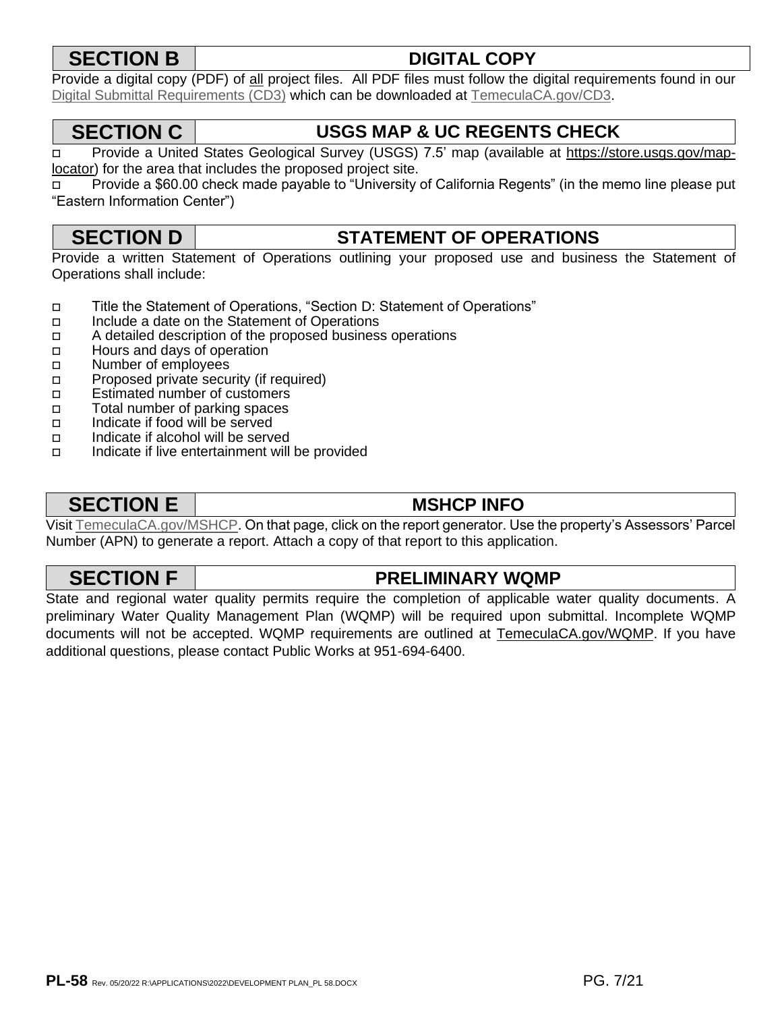# **SECTION B DIGITAL COPY**

Provide a digital copy (PDF) of all project files. All PDF files must follow the digital requirements found in our Digital Submittal Requirements (CD3) which can be downloaded at TemeculaCA.gov/CD3.

# **SECTION C USGS MAP & UC REGENTS CHECK**

 Provide a United States Geological Survey (USGS) 7.5' map (available at https://store.usgs.gov/map[locator\) f](https://store.usgs.gov/map-locator)or the area that includes the proposed project site.

 Provide a \$60.00 check made payable to "University of California Regents" (in the memo line please put "Eastern Information Center")

# **SECTION D STATEMENT OF OPERATIONS**

Provide a written Statement of Operations outlining your proposed use and business the Statement of Operations shall include:

- Title the Statement of Operations, "Section D: Statement of Operations"
- Include a date on the Statement of Operations
- $\Box$  A detailed description of the proposed business operations
- Hours and days of operation
- n Number of employees
- **Proposed private security (if required)**
- □ Estimated number of customers
- Total number of parking spaces
- Indicate if food will be served
- Indicate if alcohol will be served
- $\Box$  Indicate if live entertainment will be provided

# **SECTION E MSHCP INFO**

Visit [TemeculaCA.gov/MSHCP.](https://temeculaca.gov/MSHCP) On that page, click on the report generator. Use the property's Assessors' Parcel Number (APN) to generate a report. Attach a copy of that report to this application.

# **SECTION F PRELIMINARY WQMP**

State and regional water quality permits require the completion of applicable water quality documents. A preliminary Water Quality Management Plan (WQMP) will be required upon submittal. Incomplete WQMP documents will not be accepted. WQMP requirements are outlined [at TemeculaCA.gov/WQMP.](https://store.usgs.gov/map-locator) If you have additional questions, please contact Public Works at 951-694-6400.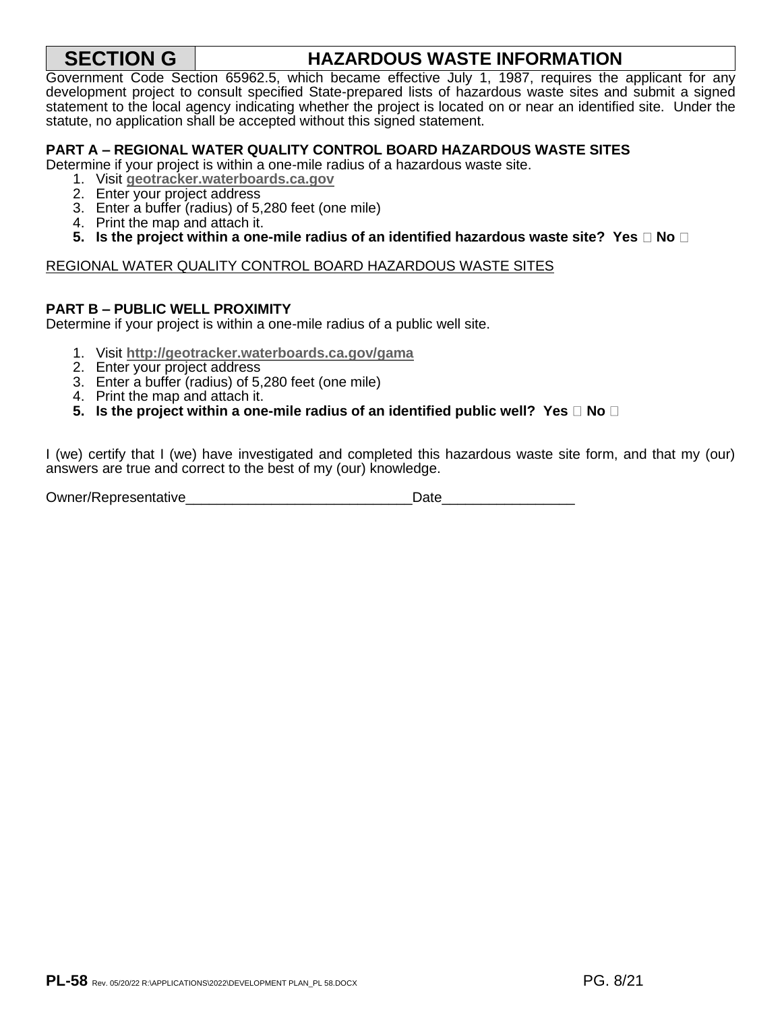# **SECTION G HAZARDOUS WASTE INFORMATION**

Government Code Section 65962.5, which became effective July 1, 1987, requires the applicant for any development project to consult specified State-prepared lists of hazardous waste sites and submit a signed statement to the local agency indicating whether the project is located [on or near an identified site](http://www.temeculaca.gov/WQMP). Under the statute, no application shall be accepted without this signed statement.

### **PART A – REGIONAL WATER QUALITY CONTROL BOARD HAZARDOUS WASTE SITES**

Determine if your project is within a one-mile radius of a hazardous waste site.

- 1. Visit **geotracker.waterboards.ca.gov**
- 2. Enter [your project address](http://geotracker.waterboards.ca.gov/)
- 3. Enter a buffer (radius) of 5,280 feet (one mile)
- 4. Print the map and attach it.
- **5.** Is the project within a one-mile radius of an identified hazardous waste site? Yes  $\Box$  No  $\Box$

### REGIONAL WATER QUALITY CONTROL BOARD HAZARDOUS WASTE SITES

### **PART B – PUBLIC WELL PROXIMITY**

Determine if your project is within a one-mile radius of a public well site.

- 1. Visit **http://geotracker.waterboards.ca.gov/gama**
- 2. Enter [your project address](http://geotracker.waterboards.ca.gov/gama)
- 3. Enter a buffer (radius) of 5,280 feet (one mile)
- 4. Print the map and attach it.

### **5.** Is the project within a one-mile radius of an identified public well? Yes  $\Box$  No  $\Box$

I (we) certify that I (we) have investigated and completed this hazardous waste site form, and that my (our) answers are true and correct to the best of my (our) knowledge.

| Owner/Representative | Date |
|----------------------|------|
|----------------------|------|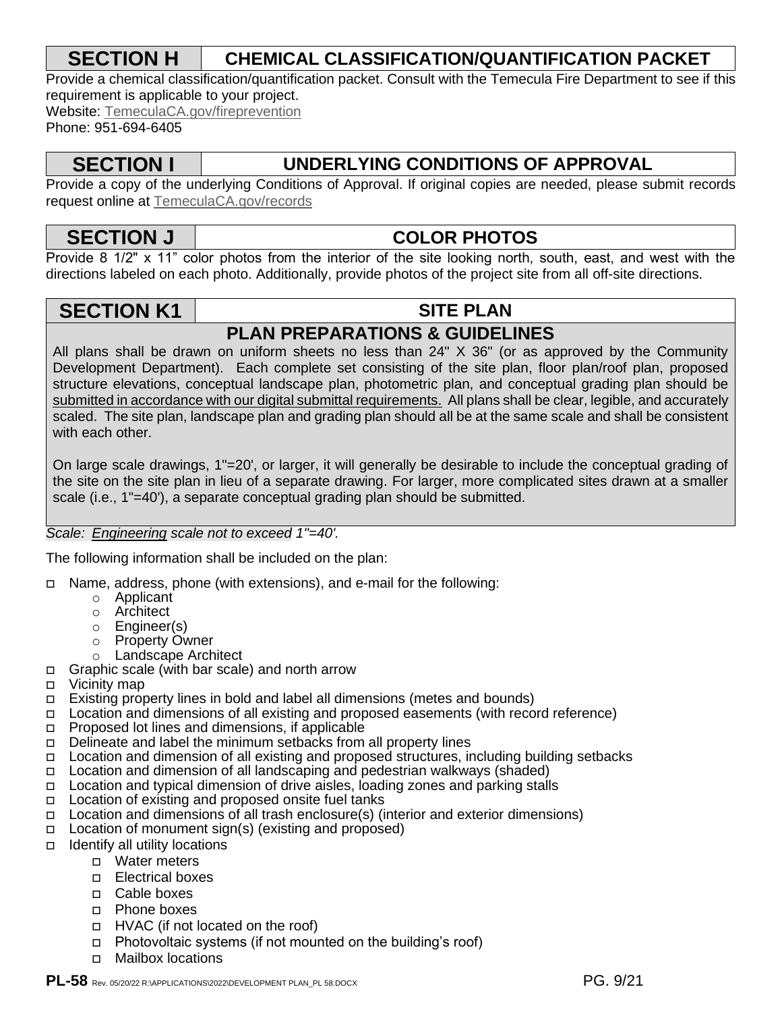# **SECTION H CHEMICAL CLASSIFICATION/QUANTIFICATION PACKET**

Provide a chemical classification/quantification packet. Consult with the Temecula Fire Department to see if this requirement is applicable to your project.

Website: TemeculaCA.gov/fireprevention

Phone: 951-694-6405

# **SECTION I UNDERLYING CONDITIONS OF APPROVAL**

Provide a copy of the underlying Conditions of Approval. If original copies are needed, please submit records request online at [TemeculaCA.gov/records](https://temeculaca.gov/records)

# **SECTION J COLOR PHOTOS**

Provide 8 1/2" x 11" color photos from the interior of the site looking north, south, east, and west with the directions labeled on each photo. Additionally, provide photos of the project site from all off-site directions.

# **SECTION K1 SITE PLAN**

# **PLAN PREPARATIONS & GUIDELINES**

All plans shall be drawn on uniform sheets no less than 24" X 36" (or as approved by the Community Development Department). Each complete set consisting of the site plan, floor plan/roof plan, proposed structure elevations, conceptual landscape plan, photometric plan, and conceptual grading plan should be submitted in accordance with our digital submittal requirements. All plans shall be clear, legible, and accurately scaled. The site plan, landscape plan and grading plan should all be at the same scale and shall be consistent with each other.

On large scale drawings, 1"=20', or larger, it will generally be desirable to include the conceptual grading of the site on the site plan in lieu of a separate drawing. For larger, more complicated sites drawn at a smaller scale (i.e., 1"=40'), a separate conceptual grading plan should be submitted.

### *Scale: Engineering scale not to exceed 1"=40'.*

The following information shall be included on the plan:

- □ Name, address, phone (with extensions), and e-mail for the following:
	- o Applicant
	- o Architect
	- o Engineer(s)
	- o Property Owner
	- o Landscape Architect
- Graphic scale (with bar scale) and north arrow
- Vicinity map
- Existing property lines in bold and label all dimensions (metes and bounds)
- Location and dimensions of all existing and proposed easements (with record reference)
- □ Proposed lot lines and dimensions, if applicable
- $\Box$  Delineate and label the minimum setbacks from all property lines
- □ Location and dimension of all existing and proposed structures, including building setbacks
- Location and dimension of all landscaping and pedestrian walkways (shaded)
- Location and typical dimension of drive aisles, loading zones and parking stalls
- □ Location of existing and proposed onsite fuel tanks<br>□ Location and dimensions of all trash enclosure(s) (i
- Location and dimensions of all trash enclosure(s) (interior and exterior dimensions)
- $\Box$  Location of monument sign(s) (existing and proposed)
- $\Box$  Identify all utility locations
	- Water meters
	- Electrical boxes
	- □ Cable boxes
	- Phone boxes
	- □ HVAC (if not located on the roof)
	- □ Photovoltaic systems (if not mounted on the building's roof)
	- Mailbox locations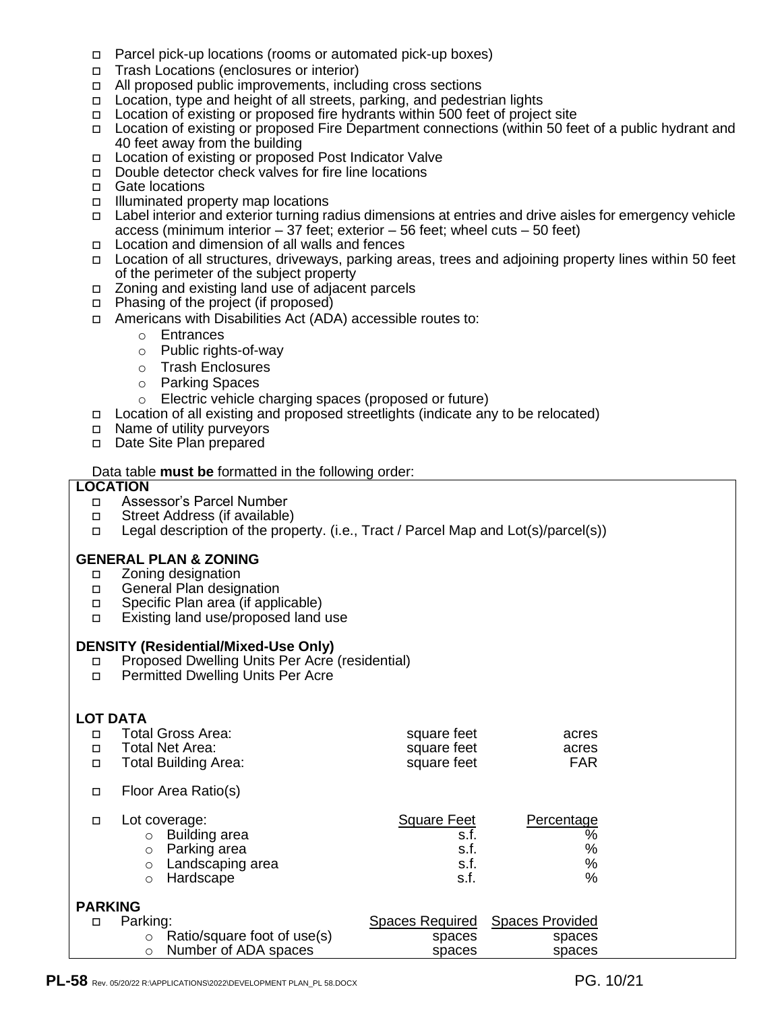- Parcel pick-up locations (rooms or automated pick-up boxes)
- □ Trash Locations (enclosures or interior)
- $\Box$  All proposed public improvements, including cross sections
- □ Location, type and height of all streets, parking, and pedestrian lights
- Location of existing or proposed fire hydrants within 500 feet of project site
- Location of existing or proposed Fire Department connections (within 50 feet of a public hydrant and 40 feet away from the building
- □ Location of existing or proposed Post Indicator Valve
- □ Double detector check valves for fire line locations
- □ Gate locations
- $\Box$  Illuminated property map locations
- Label interior and exterior turning radius dimensions at entries and drive aisles for emergency vehicle access (minimum interior  $-37$  feet; exterior  $-56$  feet; wheel cuts  $-50$  feet)
- Location and dimension of all walls and fences
- Location of all structures, driveways, parking areas, trees and adjoining property lines within 50 feet of the perimeter of the subject property
- Zoning and existing land use of adjacent parcels
- □ Phasing of the project (if proposed)
- Americans with Disabilities Act (ADA) accessible routes to:
	- o Entrances
	- o Public rights-of-way
	- o Trash Enclosures
	- o Parking Spaces
	- o Electric vehicle charging spaces (proposed or future)
- Location of all existing and proposed streetlights (indicate any to be relocated)
- □ Name of utility purveyors
- Date Site Plan prepared

### Data table **must be** formatted in the following order:

### **LOCATION**

- Assessor's Parcel Number
- □ Street Address (if available)
- Legal description of the property. (i.e., Tract / Parcel Map and Lot(s)/parcel(s))

### **GENERAL PLAN & ZONING**

- □ Zoning designation
- □ General Plan designation
- □ Specific Plan area (if applicable)
- Existing land use/proposed land use

### **DENSITY (Residential/Mixed-Use Only)**

- □ Proposed Dwelling Units Per Acre (residential)
- □ Permitted Dwelling Units Per Acre

### **LOT DATA**

| П<br>$\Box$<br>$\Box$ | <b>Total Gross Area:</b><br>Total Net Area:<br><b>Total Building Area:</b>                                                  | square feet<br>square feet<br>square feet          | acres<br>acres<br><b>FAR</b>                        |
|-----------------------|-----------------------------------------------------------------------------------------------------------------------------|----------------------------------------------------|-----------------------------------------------------|
| о                     | Floor Area Ratio(s)                                                                                                         |                                                    |                                                     |
| $\Box$                | Lot coverage:<br>Building area<br>$\circ$<br>Parking area<br>$\circ$<br>Landscaping area<br>$\circ$<br>Hardscape<br>$\circ$ | <b>Square Feet</b><br>s.f.<br>s.f.<br>s.f.<br>s.f. | Percentage<br>$\frac{1}{2}$<br>$\%$<br>$\%$<br>$\%$ |
| <b>PARKING</b>        |                                                                                                                             |                                                    |                                                     |
| □                     | Parking:                                                                                                                    | Spaces Required                                    | <b>Spaces Provided</b>                              |
|                       | Ratio/square foot of use(s)<br>$\circ$                                                                                      | spaces                                             | spaces                                              |
|                       | Number of ADA spaces<br>$\circ$                                                                                             | spaces                                             | spaces                                              |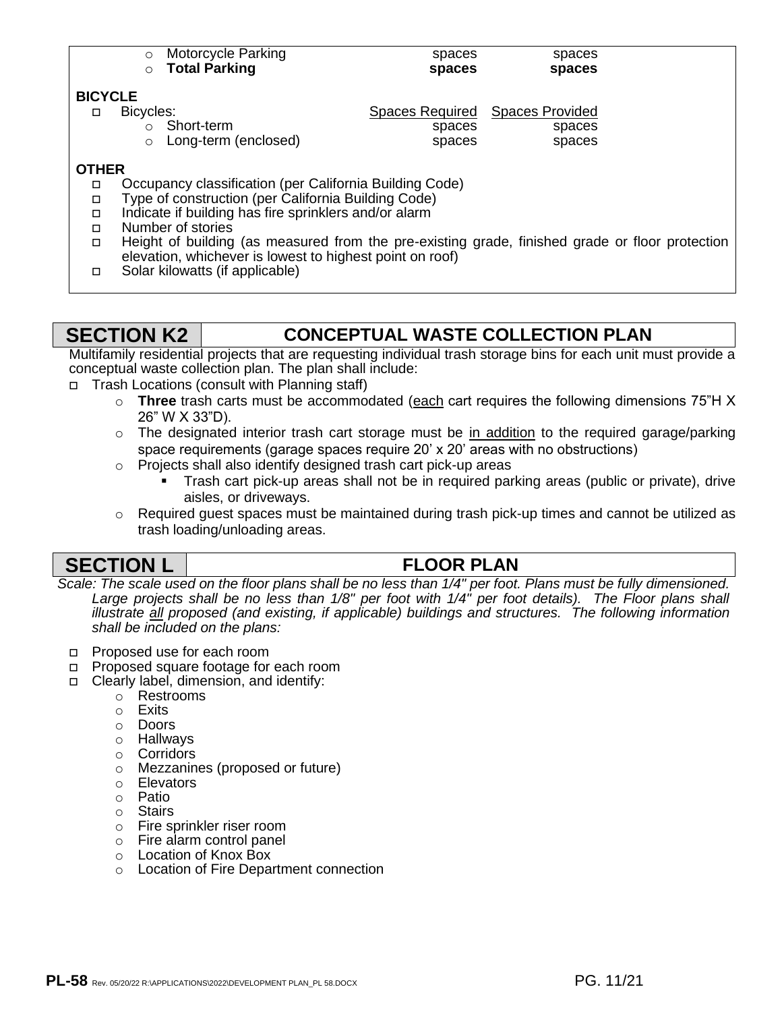| $\circ$                     | <b>Motorcycle Parking</b>            | spaces                                              | spaces           |
|-----------------------------|--------------------------------------|-----------------------------------------------------|------------------|
|                             | <b>Total Parking</b>                 | spaces                                              | spaces           |
| <b>BICYCLE</b><br>Bicycles: | Short-term<br>○ Long-term (enclosed) | Spaces Required Spaces Provided<br>spaces<br>spaces | spaces<br>spaces |

### **OTHER**

- □ Occupancy classification (per California Building Code)
- Type of construction (per California Building Code)
- $\Box$  Indicate if building has fire sprinklers and/or alarm
- □ Number of stories
- Height of building (as measured from the pre-existing grade, finished grade or floor protection elevation, whichever is lowest to highest point on roof)
- □ Solar kilowatts (if applicable)

# **SECTION K2 CONCEPTUAL WASTE COLLECTION PLAN**

Multifamily residential projects that are requesting individual trash storage bins for each unit must provide a conceptual waste collection plan. The plan shall include:

- □ Trash Locations (consult with Planning staff)
	- o **Three** trash carts must be accommodated (each cart requires the following dimensions 75"H X 26" W X 33"D).
	- $\circ$  The designated interior trash cart storage must be in addition to the required garage/parking space requirements (garage spaces require 20' x 20' areas with no obstructions)
	- o Projects shall also identify designed trash cart pick-up areas
		- Trash cart pick-up areas shall not be in required parking areas (public or private), drive aisles, or driveways.
	- $\circ$  Required guest spaces must be maintained during trash pick-up times and cannot be utilized as trash loading/unloading areas.

# **SECTION L FLOOR PLAN**

*Scale: The scale used on the floor plans shall be no less than 1/4" per foot. Plans must be fully dimensioned. Large projects shall be no less than 1/8" per foot with 1/4" per foot details). The Floor plans shall illustrate all proposed (and existing, if applicable) buildings and structures. The following information shall be included on the plans:*

- □ Proposed use for each room
- □ Proposed square footage for each room
- Clearly label, dimension, and identify:
	- o Restrooms
	- o Exits
	- o Doors
	- o Hallways
	- o Corridors
	- o Mezzanines (proposed or future)
	- o Elevators
	- o Patio
	- o Stairs
	- o Fire sprinkler riser room
	- o Fire alarm control panel
	- o Location of Knox Box
	- o Location of Fire Department connection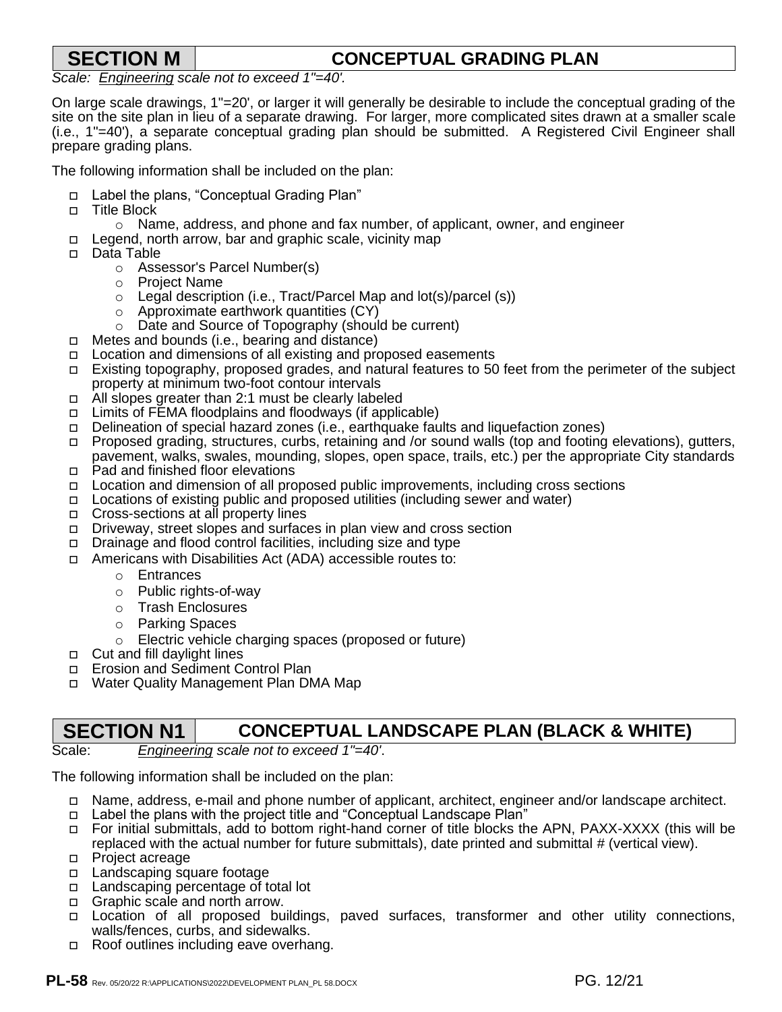# **SECTION M CONCEPTUAL GRADING PLAN**

*Scale: Engineering scale not to exceed 1"=40'.*

On large scale drawings, 1"=20', or larger it will generally be desirable to include the conceptual grading of the site on the site plan in lieu of a separate drawing. For larger, more complicated sites drawn at a smaller scale (i.e., 1"=40'), a separate conceptual grading plan should be submitted. A Registered Civil Engineer shall prepare grading plans.

The following information shall be included on the plan:

- Label the plans, "Conceptual Grading Plan"
- □ Title Block
	- o Name, address, and phone and fax number, of applicant, owner, and engineer
- □ Legend, north arrow, bar and graphic scale, vicinity map
- Data Table
	- o Assessor's Parcel Number(s)
	- o Project Name
	- $\circ$  Legal description (i.e., Tract/Parcel Map and lot(s)/parcel (s))
	- o Approximate earthwork quantities (CY)
	- o Date and Source of Topography (should be current)
- Metes and bounds (i.e., bearing and distance)
- Location and dimensions of all existing and proposed easements
- Existing topography, proposed grades, and natural features to 50 feet from the perimeter of the subject property at minimum two-foot contour intervals
- All slopes greater than 2:1 must be clearly labeled
- $\Box$  Limits of FEMA floodplains and floodways (if applicable)
- Delineation of special hazard zones (i.e., earthquake faults and liquefaction zones)
- □ Proposed grading, structures, curbs, retaining and /or sound walls (top and footing elevations), gutters, pavement, walks, swales, mounding, slopes, open space, trails, etc.) per the appropriate City standards □ Pad and finished floor elevations
- Location and dimension of all proposed public improvements, including cross sections
- Locations of existing public and proposed utilities (including sewer and water)
- □ Cross-sections at all property lines
- Driveway, street slopes and surfaces in plan view and cross section
- Drainage and flood control facilities, including size and type
- Americans with Disabilities Act (ADA) accessible routes to:
	- o Entrances
	- o Public rights-of-way
	- o Trash Enclosures
	- o Parking Spaces
	- o Electric vehicle charging spaces (proposed or future)
- □ Cut and fill daylight lines
- □ Erosion and Sediment Control Plan
- Water Quality Management Plan DMA Map

# **SECTION N1 CONCEPTUAL LANDSCAPE PLAN (BLACK & WHITE)**

### Scale: *Engineering scale not to exceed 1"=40'*.

The following information shall be included on the plan:

- Name, address, e-mail and phone number of applicant, architect, engineer and/or landscape architect.
- Label the plans with the project title and "Conceptual Landscape Plan"
- For initial submittals, add to bottom right-hand corner of title blocks the APN, PAXX-XXXX (this will be replaced with the actual number for future submittals), date printed and submittal # (vertical view).
- **Project acreage**
- □ Landscaping square footage
- □ Landscaping percentage of total lot
- □ Graphic scale and north arrow.
- Location of all proposed buildings, paved surfaces, transformer and other utility connections, walls/fences, curbs, and sidewalks.
- □ Roof outlines including eave overhang.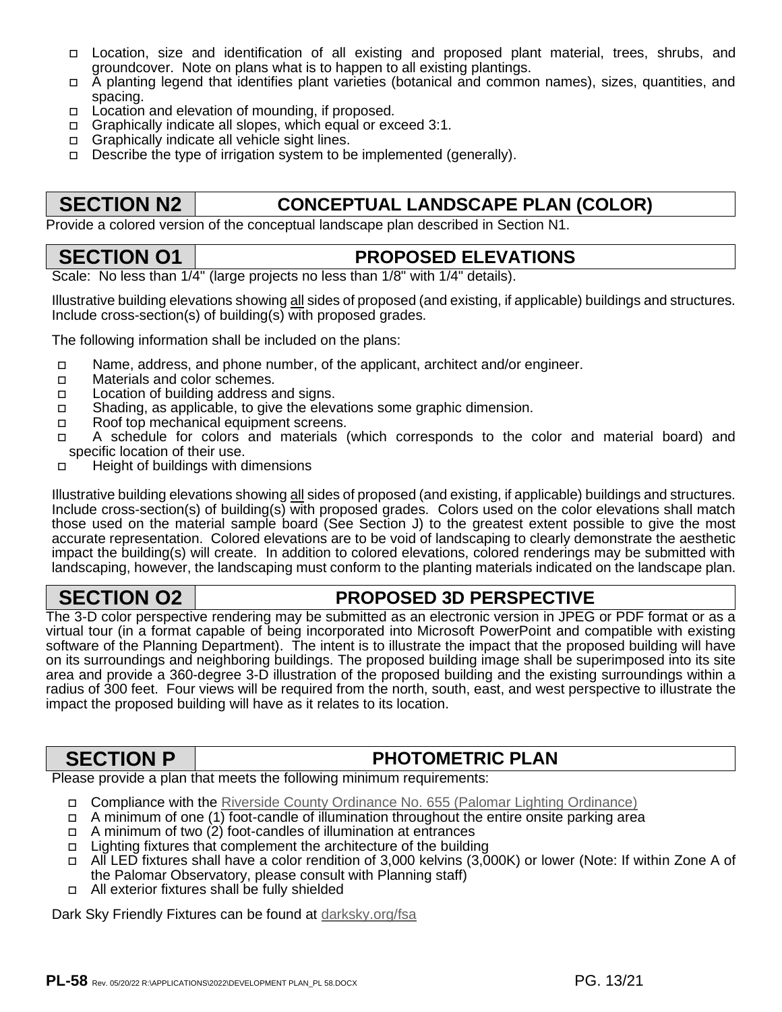- Location, size and identification of all existing and proposed plant material, trees, shrubs, and groundcover. Note on plans what is to happen to all existing plantings.
- A planting legend that identifies plant varieties (botanical and common names), sizes, quantities, and spacing.
- $\Box$  Location and elevation of mounding, if proposed.
- □ Graphically indicate all slopes, which equal or exceed 3:1.
- □ Graphically indicate all vehicle sight lines.
- $\Box$  Describe the type of [irrigation system to be implemented](http://www.clerkoftheboard.co.riverside.ca.us/ords/600/655.htm) (generally).

# **SECTION N2 CONCEPTUAL LANDSCAPE PLAN (COLOR)**

Provide a colored version of the conceptual landscape plan described in Section N1.

# **SECTION O1 PROPOSED ELEVATIONS**

Scale: No less than  $1/4$ " (large projects no less than  $1/8$ " with  $1/4$ " details).

Illustrative building elevations showing all sides of proposed (and existing, if applicable) buildings and structures. Include cross-section(s) of building(s) with proposed grades.

The following information shall be included on the plans:

- Name, address, and phone number, of the applicant, architect and/or engineer.
- □ Materials and color schemes.
- □ Location of building address and signs.
- Shading, as applicable, to give the elevations some graphic dimension.
- □ Roof top mechanical equipment screens.
- A schedule for colors and materials (which corresponds to the color and material board) and specific location of their use.
- □ Height of buildings with dimensions

Illustrative building elevations showing all sides of proposed (and existing, if applicable) buildings and structures. Include cross-section(s) of building(s) with proposed grades. Colors used on the color elevations shall match those used on the material sample board (See Section J) to the greatest extent possible to give the most accurate representation. Colored elevations are to be void of landscaping to clearly demonstrate the aesthetic impact the building(s) will create. In addition to colored elevations, colored renderings may be submitted with landscaping, however, the landscaping must conform to the planting materials indicated on the landscape plan.

# **SECTION 02 PROPOSED 3D PERSPECTIVE**

The 3-D color perspective rendering may be submitted as an electronic version in JPEG or PDF format or as a virtual tour (in a format capable of being incorporated into Microsoft PowerPoint and compatible with existing software of the Planning Department). The intent is to illustrate the impact that the proposed building will have on its surroundings and neighboring buildings. The proposed building image shall be superimposed into its site area and provide a 360-degree 3-D illustration of the proposed building and the existing surroundings within a radius of 300 feet. Four views will be required from the north, south, east, and west perspective to illustrate the impact the proposed building will have as it relates to its location.

# **SECTION P PHOTOMETRIC PLAN**

Please provide a plan that meets the following minimum requirements:

- □ Compliance with the Riverside County Ordinance No. 655 (Palomar Lighting Ordinance)
- $\Box$  A minimum of one (1) foot-candle of illumination throughout the entire onsite parking area
- $\Box$  A minimum of two (2) foot-candles of illumination at entrances
- □ Lighting fixtures that complement the architecture of the building
- □ All LED fixtures shall have a color rendition of 3,000 kelvins (3,000K) or lower (Note: If within Zone A of the Palomar Observatory, please consult with Planning staff)
- □ All exterior fixtures shall be fully shielded

Dark Sky Friendly Fixtures can be found at darksky.org/fsa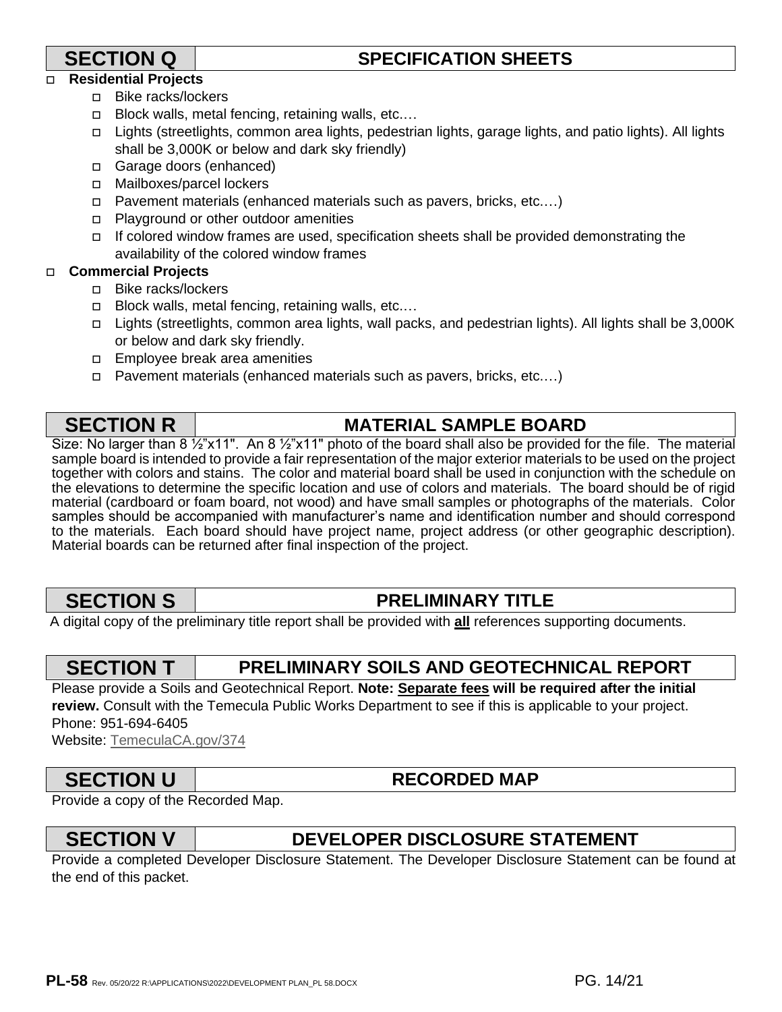# **SECTION Q SPECIFICATION SHEETS**

### **Residential Projects**

- □ Bike racks/lockers
- □ Block walls, metal fencing, retaining walls, etc....
- [Lights \(streetlights, co](http://www.temeculaca.gov/374)mmon area lights, pedestrian lights, garage lights, and patio lights). All lights shall be 3,000K or below and dark sky friendly)
- Garage doors (enhanced)
- Mailboxes/parcel lockers
- Pavement materials (enhanced materials such as pavers, bricks, etc.…)
- □ Playground or other outdoor amenities
- $\Box$  If colored window frames are used, specification sheets shall be provided demonstrating the availability of the colored window frames

### **Commercial Projects**

- □ Bike racks/lockers
- □ Block walls, metal fencing, retaining walls, etc....
- Lights (streetlights, common area lights, wall packs, and pedestrian lights). All lights shall be 3,000K or below and dark sky friendly.
- **Employee break area amenities**
- Pavement materials (enhanced materials such as pavers, bricks, etc.…)

# **SECTION R** I MATERIAL SAMPLE BOARD

Size: No larger than 8 1/2"x11". An 8 1/2"x11" photo of the board shall also be provided for the file. The material sample board is intended to provide a fair representation of the major exterior materials to be used on the project together with colors and stains. The color and material board shall be used in conjunction with the schedule on the elevations to determine the specific location and use of colors and materials. The board should be of rigid material (cardboard or foam board, not wood) and have small samples or photographs of the materials. Color samples should be accompanied with manufacturer's name and identification number and should correspond to the materials. Each board should have project name, project address (or other geographic description). Material boards can be returned after final inspection of the project.

# **SECTION S PRELIMINARY TITLE**

A digital copy of the preliminary title report shall be provided with **all** references supporting documents.

# **SECTION T PRELIMINARY SOILS AND GEOTECHNICAL REPORT**

Please provide a Soils and Geotechnical Report. **Note: Separate fees will be required after the initial review.** Consult with the Temecula Public Works Department to see if this is applicable to your project. Phone: 951-694-6405 Website: TemeculaCA.gov/374

# **SECTION U** RECORDED MAP

Provide a copy of the Recorded Map.

# **SECTION V DEVELOPER DISCLOSURE STATEMENT**

Provide a completed Developer Disclosure Statement. The Developer Disclosure Statement can be found at the end of this packet.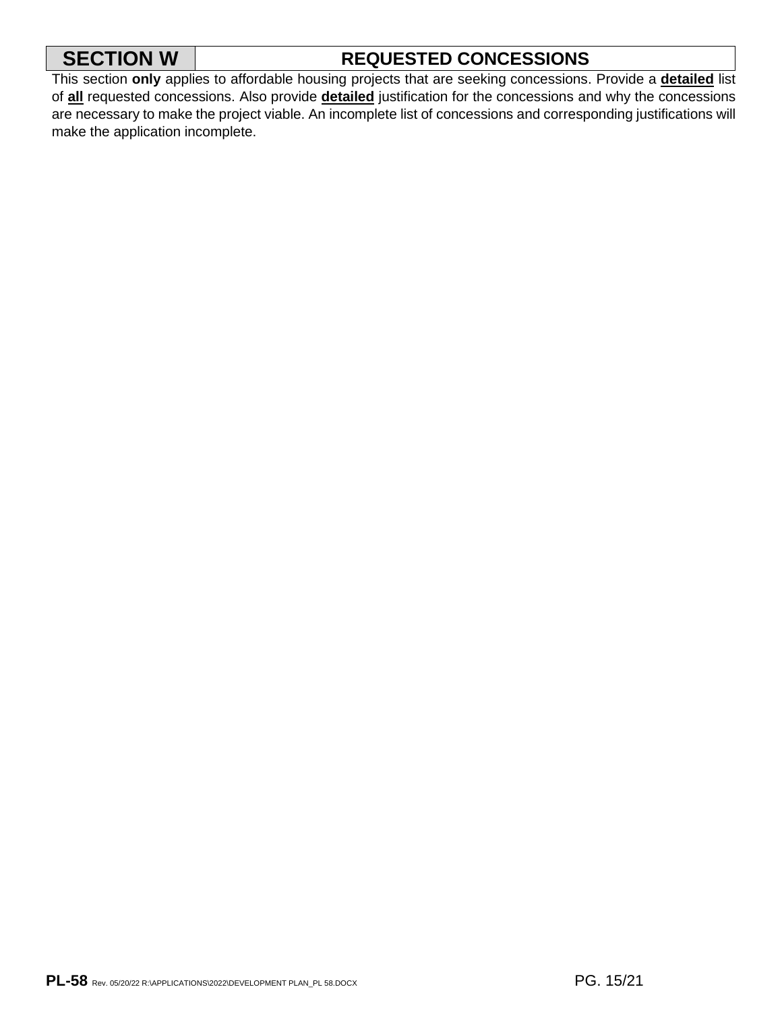# **SECTION W** | REQUESTED CONCESSIONS

This section **only** applies to affordable housing projects that are seeking concessions. Provide a **detailed** list of **all** requested concessions. Also provide **detailed** justification for the concessions and why the concessions are necessary to make the project viable. An incomplete list of concessions and corresponding justifications will make the application incomplete.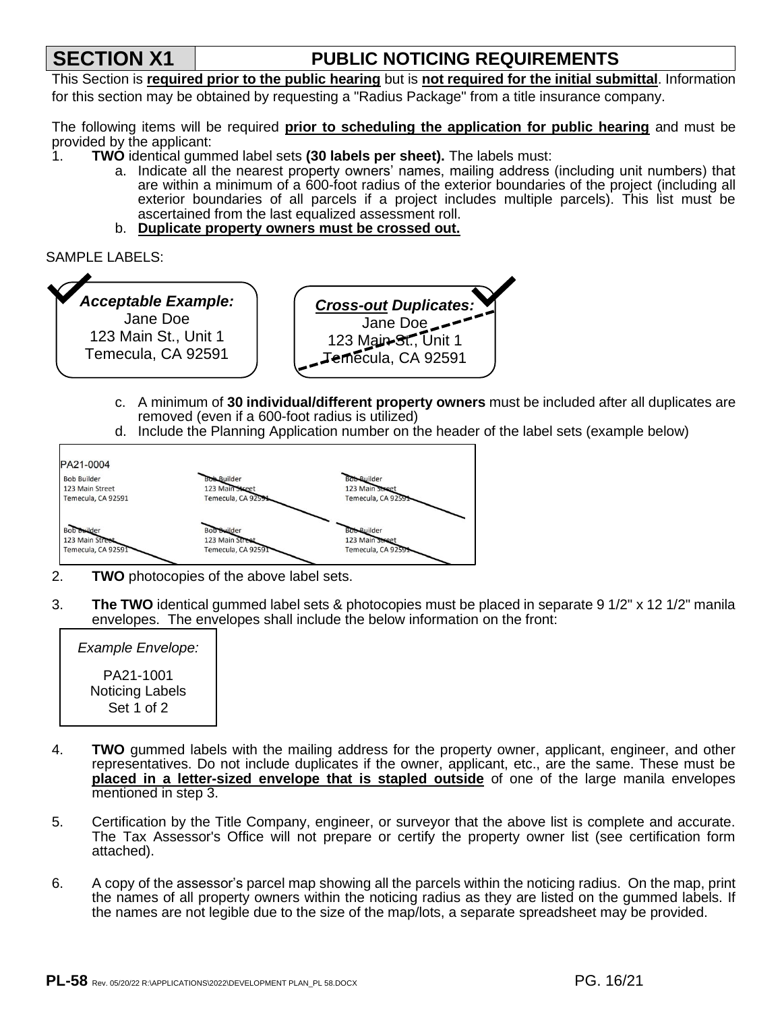# **SECTION X1 PUBLIC NOTICING REQUIREMENTS**

This Section is **required prior to the public hearing** but is **not required for the initial submittal**. Information for this section may be obtained by requesting a "Radius Package" from a title insurance company.

The following items will be required **prior to scheduling the application for public hearing** and must be provided by the applicant:

- 1. **TWO** identical gummed label sets **(30 labels per sheet).** The labels must:
	- a. Indicate all the nearest property owners' names, mailing address (including unit numbers) that are within a minimum of a 600-foot radius of the exterior boundaries of the project (including all exterior boundaries of all parcels if a project includes multiple parcels). This list must be ascertained from the last equalized assessment roll.
	- b. **Duplicate property owners must be crossed out.**

```
SAMPLE LABELS:
```


- c. A minimum of **30 individual/different property owners** must be included after all duplicates are removed (even if a 600-foot radius is utilized)
- d. Include the Planning Application number on the header of the label sets (example below)



- 2. **TWO** photocopies of the above label sets.
- 3. **The TWO** identical gummed label sets & photocopies must be placed in separate 9 1/2" x 12 1/2" manila envelopes. The envelopes shall include the below information on the front:

| Example Envelope:                          |  |
|--------------------------------------------|--|
| PA21-1001<br>Noticing Labels<br>Set 1 of 2 |  |

- 4. **TWO** gummed labels with the mailing address for the property owner, applicant, engineer, and other representatives. Do not include duplicates if the owner, applicant, etc., are the same. These must be **placed in a letter-sized envelope that is stapled outside** of one of the large manila envelopes mentioned in step 3.
- 5. Certification by the Title Company, engineer, or surveyor that the above list is complete and accurate. The Tax Assessor's Office will not prepare or certify the property owner list (see certification form attached).
- 6. A copy of the assessor's parcel map showing all the parcels within the noticing radius. On the map, print the names of all property owners within the noticing radius as they are listed on the gummed labels. If the names are not legible due to the size of the map/lots, a separate spreadsheet may be provided.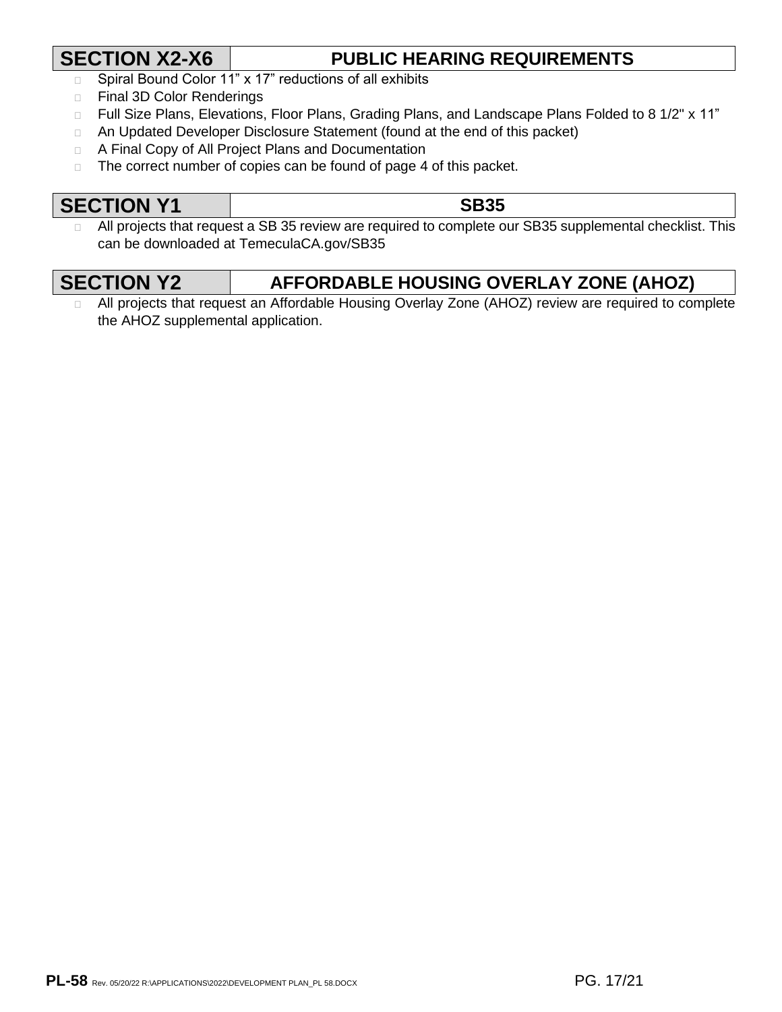# **SECTION X2-X6 PUBLIC HEARING REQUIREMENTS**

- □ Spiral Bound Color 11" x 17" reductions of all exhibits
- □ Final 3D Color Renderings
- □ Full Size Plans, Elevations, Floor Plans, Grading Plans, and Landscape Plans Folded to 8 1/2" x 11"
- □ An Updated Developer Disclosure Statement (found at the end of this packet)
- A Final Copy of All Project Plans and Documentation
- $\Box$  The correct number of copies can be found of page 4 of this packet.

# **SECTION Y1 SB35**

 $\Box$  All projects that request a SB 35 review are required to complete our SB35 supplemental checklist. This can be downloaded at TemeculaCA.gov/SB35

| <b>ANI</b>  |  |
|-------------|--|
| 1 I (<br>η, |  |

# **FORDABLE HOUSING OVERLAY ZONE (AHOZ)**

a All projects that request an Affordable Housing Overlay Zone (AHOZ) review are required to complete the AHOZ supplemental application.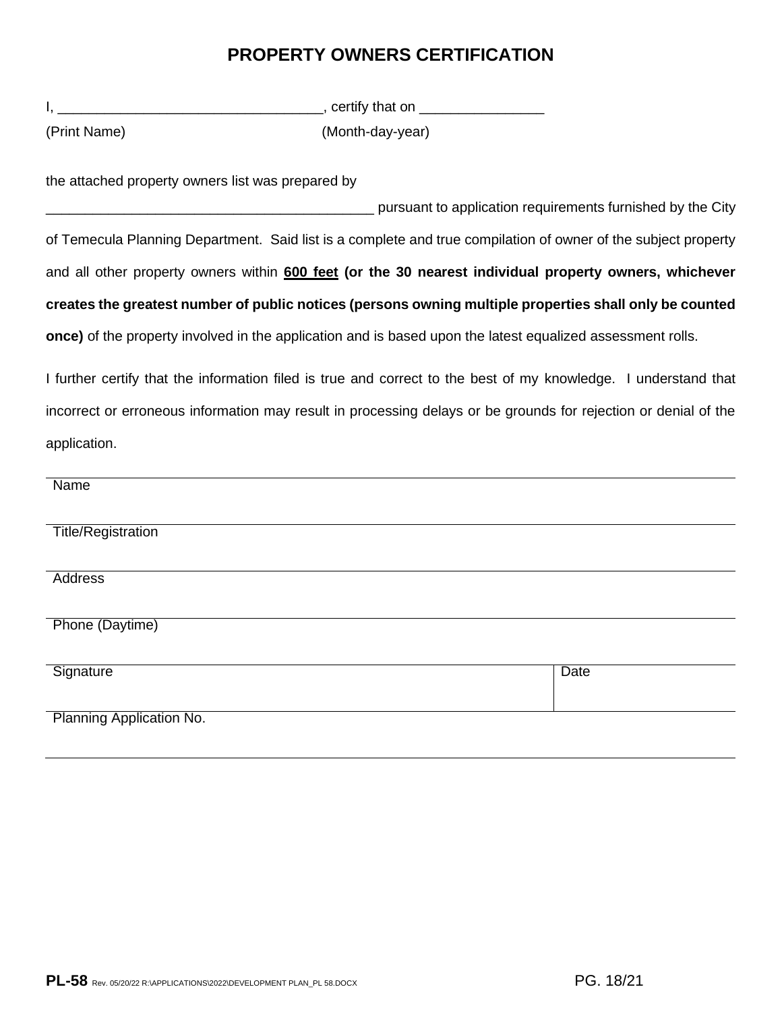# **PROPERTY OWNERS CERTIFICATION**

|                                                   | _________________________________, certify that on __________________                                      |                                                                                                                 |
|---------------------------------------------------|------------------------------------------------------------------------------------------------------------|-----------------------------------------------------------------------------------------------------------------|
| (Print Name)                                      | (Month-day-year)                                                                                           |                                                                                                                 |
| the attached property owners list was prepared by |                                                                                                            |                                                                                                                 |
|                                                   |                                                                                                            | pursuant to application requirements furnished by the City                                                      |
|                                                   |                                                                                                            | of Temecula Planning Department. Said list is a complete and true compilation of owner of the subject property  |
|                                                   |                                                                                                            | and all other property owners within 600 feet (or the 30 nearest individual property owners, whichever          |
|                                                   |                                                                                                            | creates the greatest number of public notices (persons owning multiple properties shall only be counted         |
|                                                   | once) of the property involved in the application and is based upon the latest equalized assessment rolls. |                                                                                                                 |
|                                                   |                                                                                                            | I further certify that the information filed is true and correct to the best of my knowledge. I understand that |
|                                                   |                                                                                                            | incorrect or erroneous information may result in processing delays or be grounds for rejection or denial of the |
| application.                                      |                                                                                                            |                                                                                                                 |
| <b>Name</b>                                       |                                                                                                            |                                                                                                                 |
| Title/Registration                                |                                                                                                            |                                                                                                                 |
| <b>Address</b>                                    |                                                                                                            |                                                                                                                 |
| Phone (Daytime)                                   |                                                                                                            |                                                                                                                 |
| Signature                                         |                                                                                                            | Date                                                                                                            |
| Planning Application No.                          |                                                                                                            |                                                                                                                 |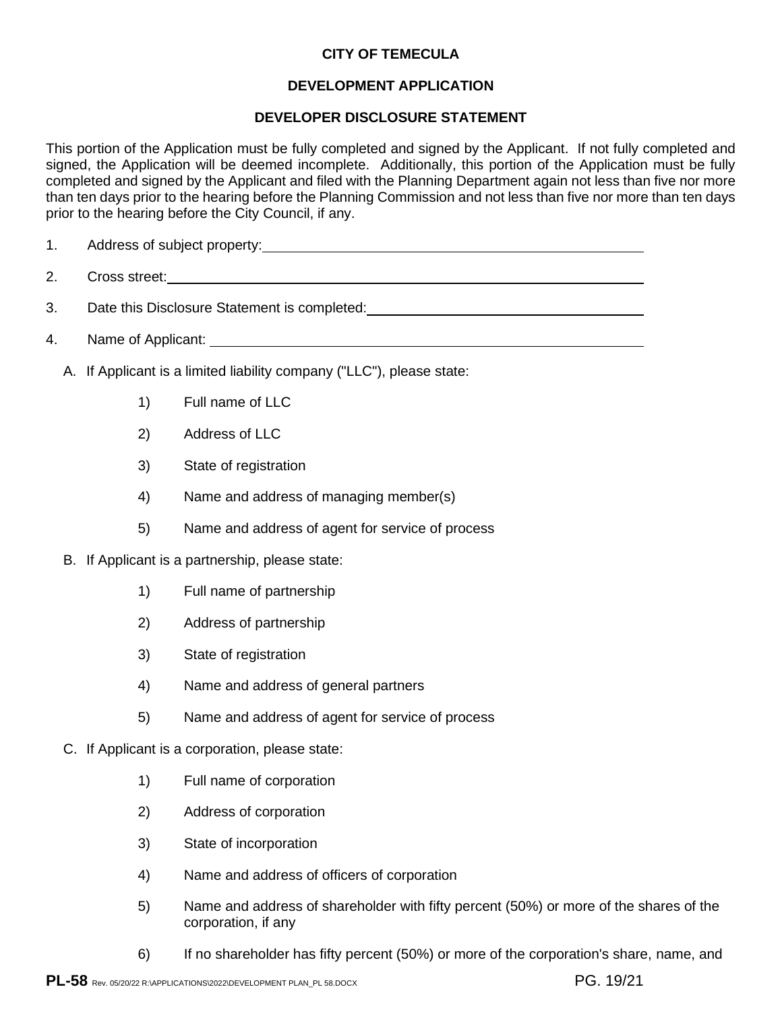### **DEVELOPMENT APPLICATION**

### **DEVELOPER DISCLOSURE STATEMENT**

This portion of the Application must be fully completed and signed by the Applicant. If not fully completed and signed, the Application will be deemed incomplete. Additionally, this portion of the Application must be fully completed and signed by the Applicant and filed with the Planning Department again not less than five nor more than ten days prior to the hearing before the Planning Commission and not less than five nor more than ten days prior to the hearing before the City Council, if any.

- 1. Address of subject property:
- 2. Cross street:
- 3. Date this Disclosure Statement is completed:
- 4. Name of Applicant:
	- A. If Applicant is a limited liability company ("LLC"), please state:
		- 1) Full name of LLC
		- 2) Address of LLC
		- 3) State of registration
		- 4) Name and address of managing member(s)
		- 5) Name and address of agent for service of process
	- B. If Applicant is a partnership, please state:
		- 1) Full name of partnership
		- 2) Address of partnership
		- 3) State of registration
		- 4) Name and address of general partners
		- 5) Name and address of agent for service of process
	- C. If Applicant is a corporation, please state:
		- 1) Full name of corporation
		- 2) Address of corporation
		- 3) State of incorporation
		- 4) Name and address of officers of corporation
		- 5) Name and address of shareholder with fifty percent (50%) or more of the shares of the corporation, if any
		- 6) If no shareholder has fifty percent (50%) or more of the corporation's share, name, and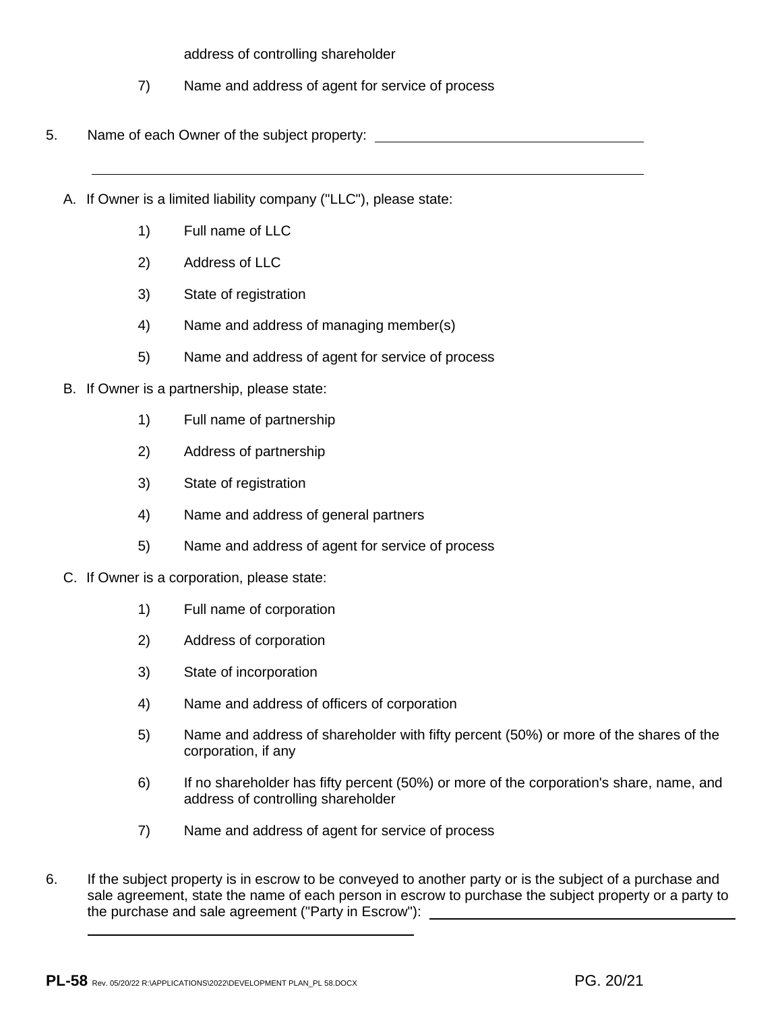address of controlling shareholder

- 7) Name and address of agent for service of process
- 5. Name of each Owner of the subject property:
	- A. If Owner is a limited liability company ("LLC"), please state:
		- 1) Full name of LLC
		- 2) Address of LLC
		- 3) State of registration
		- 4) Name and address of managing member(s)
		- 5) Name and address of agent for service of process
	- B. If Owner is a partnership, please state:
		- 1) Full name of partnership
		- 2) Address of partnership
		- 3) State of registration
		- 4) Name and address of general partners
		- 5) Name and address of agent for service of process
	- C. If Owner is a corporation, please state:
		- 1) Full name of corporation
		- 2) Address of corporation
		- 3) State of incorporation
		- 4) Name and address of officers of corporation
		- 5) Name and address of shareholder with fifty percent (50%) or more of the shares of the corporation, if any
		- 6) If no shareholder has fifty percent (50%) or more of the corporation's share, name, and address of controlling shareholder
		- 7) Name and address of agent for service of process
- 6. If the subject property is in escrow to be conveyed to another party or is the subject of a purchase and sale agreement, state the name of each person in escrow to purchase the subject property or a party to the purchase and sale agreement ("Party in Escrow"):